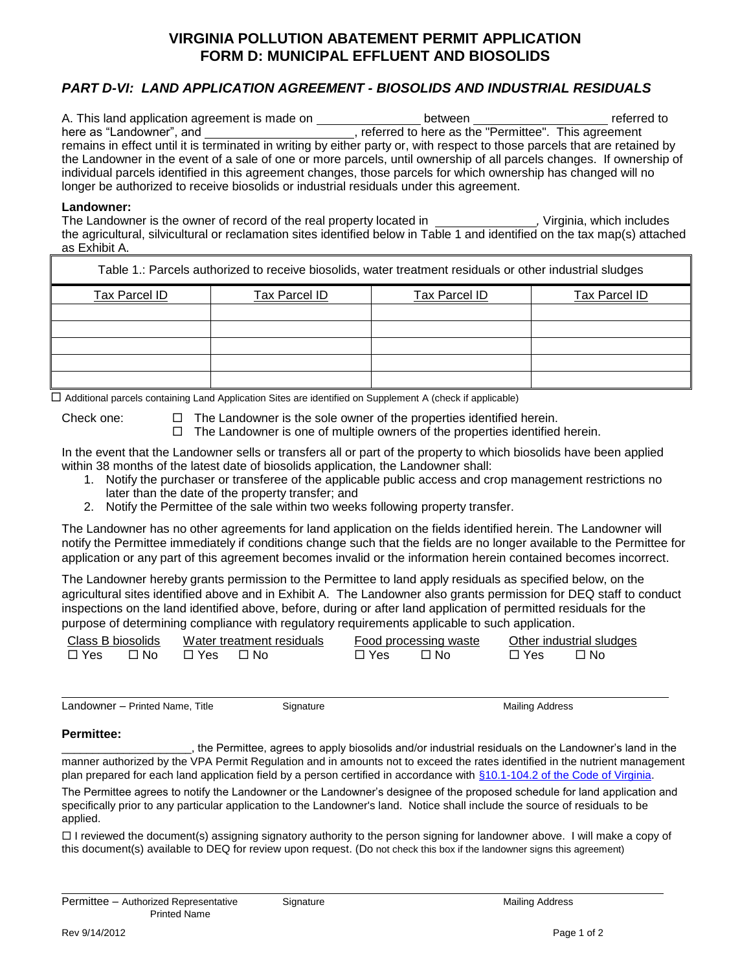# **VIRGINIA POLLUTION ABATEMENT PERMIT APPLICATION FORM D: MUNICIPAL EFFLUENT AND BIOSOLIDS**

# *PART D-VI: LAND APPLICATION AGREEMENT - BIOSOLIDS AND INDUSTRIAL RESIDUALS*

| A. This land application agreement is made on                                                                              | between                                               | referred to |
|----------------------------------------------------------------------------------------------------------------------------|-------------------------------------------------------|-------------|
| here as "Landowner", and                                                                                                   | , referred to here as the "Permittee". This agreement |             |
| remains in effect until it is terminated in writing by either party or, with respect to those parcels that are retained by |                                                       |             |
| the Landowner in the event of a sale of one or more parcels, until ownership of all parcels changes. If ownership of       |                                                       |             |
| individual parcels identified in this agreement changes, those parcels for which ownership has changed will no             |                                                       |             |
| longer be authorized to receive biosolids or industrial residuals under this agreement.                                    |                                                       |             |

#### **Landowner:**

The Landowner is the owner of record of the real property located in *\_\_\_\_\_\_\_\_\_\_\_\_\_\_\_\_,* Virginia, which includes the agricultural, silvicultural or reclamation sites identified below in Table 1 and identified on the tax map(s) attached as Exhibit A.

| Table 1.: Parcels authorized to receive biosolids, water treatment residuals or other industrial sludges |               |               |               |  |  |
|----------------------------------------------------------------------------------------------------------|---------------|---------------|---------------|--|--|
| Tax Parcel ID                                                                                            | Tax Parcel ID | Tax Parcel ID | Tax Parcel ID |  |  |
|                                                                                                          |               |               |               |  |  |
|                                                                                                          |               |               |               |  |  |
|                                                                                                          |               |               |               |  |  |
|                                                                                                          |               |               |               |  |  |
|                                                                                                          |               |               |               |  |  |

□ Additional parcels containing Land Application Sites are identified on Supplement A (check if applicable)

Check one:  $\Box$  The Landowner is the sole owner of the properties identified herein.

 $\Box$  The Landowner is one of multiple owners of the properties identified herein.

In the event that the Landowner sells or transfers all or part of the property to which biosolids have been applied within 38 months of the latest date of biosolids application, the Landowner shall:

- 1. Notify the purchaser or transferee of the applicable public access and crop management restrictions no later than the date of the property transfer; and
- 2. Notify the Permittee of the sale within two weeks following property transfer.

The Landowner has no other agreements for land application on the fields identified herein. The Landowner will notify the Permittee immediately if conditions change such that the fields are no longer available to the Permittee for application or any part of this agreement becomes invalid or the information herein contained becomes incorrect.

The Landowner hereby grants permission to the Permittee to land apply residuals as specified below, on the agricultural sites identified above and in Exhibit A. The Landowner also grants permission for DEQ staff to conduct inspections on the land identified above, before, during or after land application of permitted residuals for the purpose of determining compliance with regulatory requirements applicable to such application.

| Class B biosolids |      |     | Water treatment residuals |     | Food processing waste |     | Other industrial sludges |
|-------------------|------|-----|---------------------------|-----|-----------------------|-----|--------------------------|
| □ Yes             | ר No | Yes | ⊡ No                      | Yes | ⊟ No                  | Yes | ר No                     |

Landowner – Printed Name, Title Signature Signature Mailing Address

#### **Permittee:**

\_\_\_\_\_\_\_\_\_\_\_\_\_\_\_\_\_\_\_\_\_, the Permittee, agrees to apply biosolids and/or industrial residuals on the Landowner's land in the manner authorized by the VPA Permit Regulation and in amounts not to exceed the rates identified in the nutrient management plan prepared for each land application field by a person certified in accordance with [§10.1-104.2 of the Code of Virginia.](http://leg1.state.va.us/cgi-bin/legp504.exe?000+cod+10.1-104.2)

The Permittee agrees to notify the Landowner or the Landowner's designee of the proposed schedule for land application and specifically prior to any particular application to the Landowner's land. Notice shall include the source of residuals to be applied.

 $\Box$  I reviewed the document(s) assigning signatory authority to the person signing for landowner above. I will make a copy of this document(s) available to DEQ for review upon request. (Do not check this box if the landowner signs this agreement)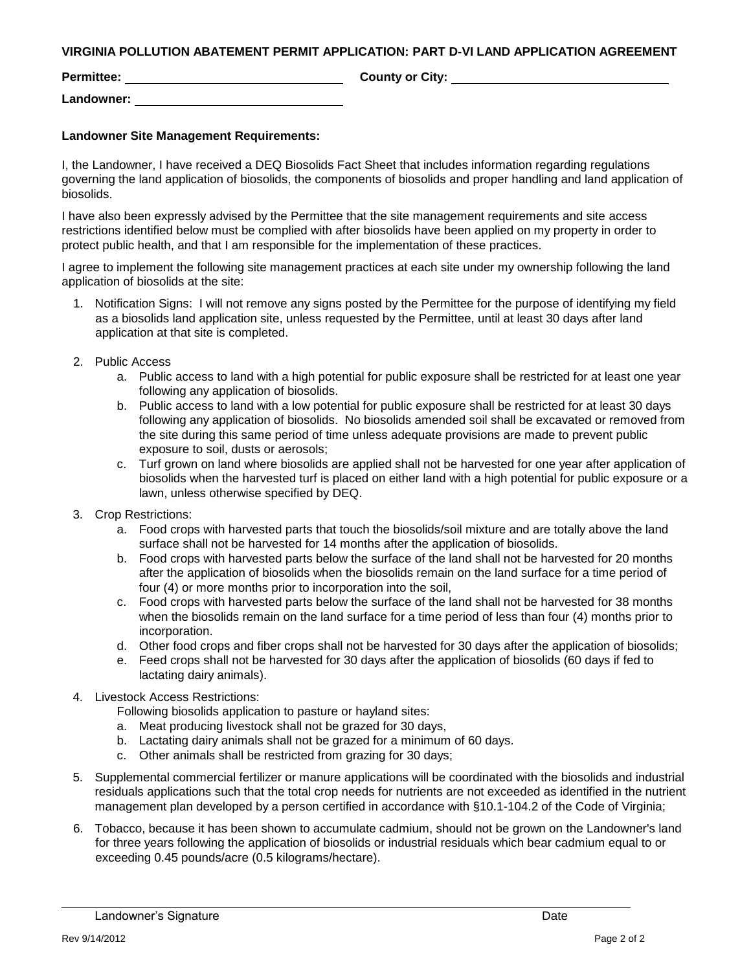| <b>Permittee:</b> | <b>County or City:</b> |
|-------------------|------------------------|
| Landowner:        |                        |

#### **Landowner Site Management Requirements:**

I, the Landowner, I have received a DEQ Biosolids Fact Sheet that includes information regarding regulations governing the land application of biosolids, the components of biosolids and proper handling and land application of biosolids.

I have also been expressly advised by the Permittee that the site management requirements and site access restrictions identified below must be complied with after biosolids have been applied on my property in order to protect public health, and that I am responsible for the implementation of these practices.

I agree to implement the following site management practices at each site under my ownership following the land application of biosolids at the site:

- 1. Notification Signs: I will not remove any signs posted by the Permittee for the purpose of identifying my field as a biosolids land application site, unless requested by the Permittee, until at least 30 days after land application at that site is completed.
- 2. Public Access
	- a. Public access to land with a high potential for public exposure shall be restricted for at least one year following any application of biosolids.
	- b. Public access to land with a low potential for public exposure shall be restricted for at least 30 days following any application of biosolids. No biosolids amended soil shall be excavated or removed from the site during this same period of time unless adequate provisions are made to prevent public exposure to soil, dusts or aerosols;
	- c. Turf grown on land where biosolids are applied shall not be harvested for one year after application of biosolids when the harvested turf is placed on either land with a high potential for public exposure or a lawn, unless otherwise specified by DEQ.
- 3. Crop Restrictions:
	- a. Food crops with harvested parts that touch the biosolids/soil mixture and are totally above the land surface shall not be harvested for 14 months after the application of biosolids.
	- b. Food crops with harvested parts below the surface of the land shall not be harvested for 20 months after the application of biosolids when the biosolids remain on the land surface for a time period of four (4) or more months prior to incorporation into the soil,
	- c. Food crops with harvested parts below the surface of the land shall not be harvested for 38 months when the biosolids remain on the land surface for a time period of less than four (4) months prior to incorporation.
	- d. Other food crops and fiber crops shall not be harvested for 30 days after the application of biosolids;
	- e. Feed crops shall not be harvested for 30 days after the application of biosolids (60 days if fed to lactating dairy animals).
- 4. Livestock Access Restrictions:

Following biosolids application to pasture or hayland sites:

- a. Meat producing livestock shall not be grazed for 30 days,
- b. Lactating dairy animals shall not be grazed for a minimum of 60 days.
- c. Other animals shall be restricted from grazing for 30 days;
- 5. Supplemental commercial fertilizer or manure applications will be coordinated with the biosolids and industrial residuals applications such that the total crop needs for nutrients are not exceeded as identified in the nutrient management plan developed by a person certified in accordance with §10.1-104.2 of the Code of Virginia;
- 6. Tobacco, because it has been shown to accumulate cadmium, should not be grown on the Landowner's land for three years following the application of biosolids or industrial residuals which bear cadmium equal to or exceeding 0.45 pounds/acre (0.5 kilograms/hectare).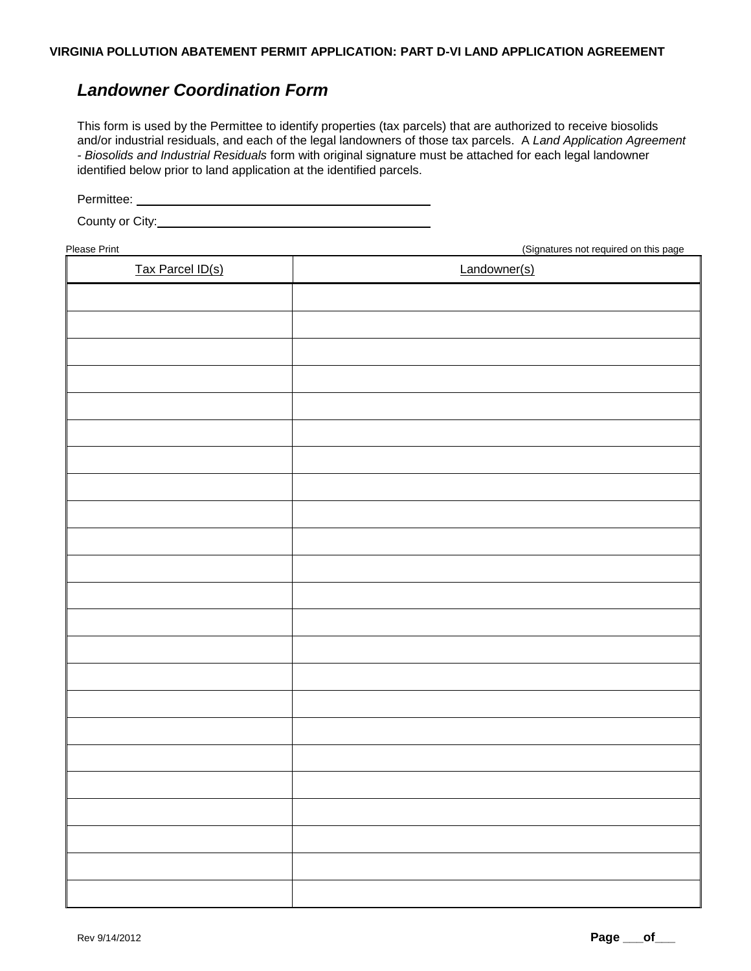# *Landowner Coordination Form*

This form is used by the Permittee to identify properties (tax parcels) that are authorized to receive biosolids and/or industrial residuals, and each of the legal landowners of those tax parcels. A *Land Application Agreement - Biosolids and Industrial Residuals* form with original signature must be attached for each legal landowner identified below prior to land application at the identified parcels.

Permittee:

County or City:

Please Print (Signatures not required on this page

| <br>Tax Parcel ID(s) | <br>.<br>Landowner(s) |
|----------------------|-----------------------|
|                      |                       |
|                      |                       |
|                      |                       |
|                      |                       |
|                      |                       |
|                      |                       |
|                      |                       |
|                      |                       |
|                      |                       |
|                      |                       |
|                      |                       |
|                      |                       |
|                      |                       |
|                      |                       |
|                      |                       |
|                      |                       |
|                      |                       |
|                      |                       |
|                      |                       |
|                      |                       |
|                      |                       |
|                      |                       |
|                      |                       |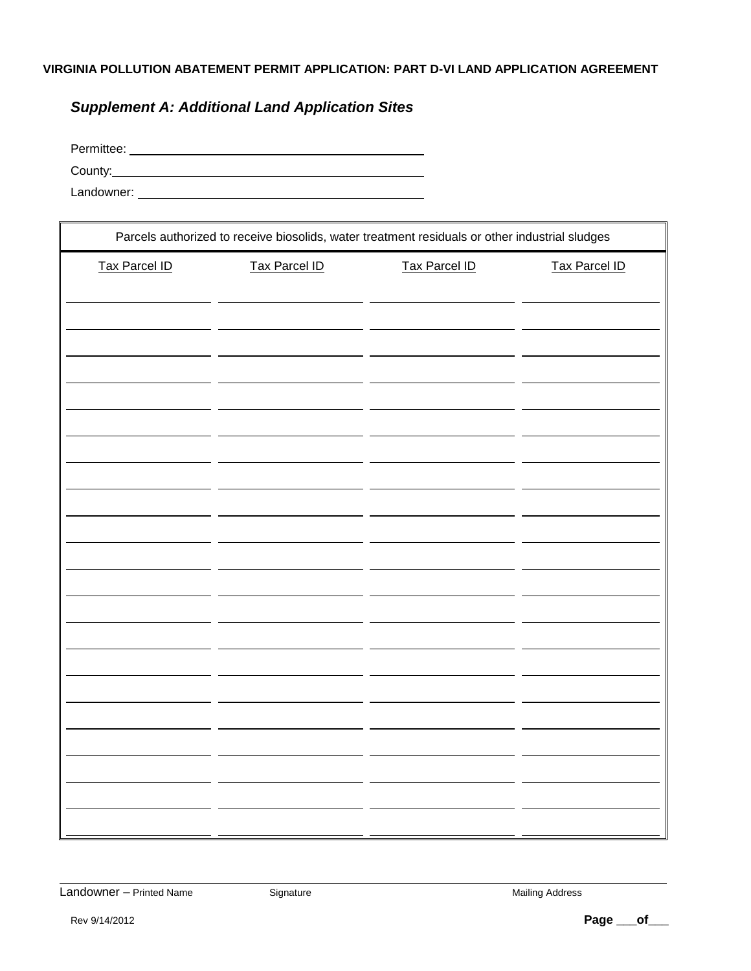# *Supplement A: Additional Land Application Sites*

| Permittee: |  |  |
|------------|--|--|
| County:    |  |  |
| Landowner: |  |  |

| Parcels authorized to receive biosolids, water treatment residuals or other industrial sludges |                      |                      |                      |  |  |
|------------------------------------------------------------------------------------------------|----------------------|----------------------|----------------------|--|--|
| <b>Tax Parcel ID</b>                                                                           | <b>Tax Parcel ID</b> | <b>Tax Parcel ID</b> | <b>Tax Parcel ID</b> |  |  |
|                                                                                                |                      |                      |                      |  |  |
|                                                                                                |                      |                      |                      |  |  |
|                                                                                                |                      |                      |                      |  |  |
|                                                                                                |                      |                      |                      |  |  |
|                                                                                                |                      |                      |                      |  |  |
|                                                                                                |                      |                      |                      |  |  |
|                                                                                                |                      |                      |                      |  |  |
|                                                                                                |                      |                      |                      |  |  |
|                                                                                                |                      |                      |                      |  |  |
|                                                                                                |                      |                      |                      |  |  |
|                                                                                                |                      |                      |                      |  |  |
|                                                                                                |                      |                      |                      |  |  |
|                                                                                                |                      |                      |                      |  |  |
|                                                                                                |                      |                      |                      |  |  |
|                                                                                                |                      |                      |                      |  |  |
|                                                                                                |                      |                      |                      |  |  |
|                                                                                                |                      |                      |                      |  |  |
|                                                                                                |                      |                      |                      |  |  |
|                                                                                                |                      |                      |                      |  |  |
|                                                                                                |                      |                      |                      |  |  |
|                                                                                                |                      |                      |                      |  |  |

Landowner – Printed Name Signature Signature Mailing Address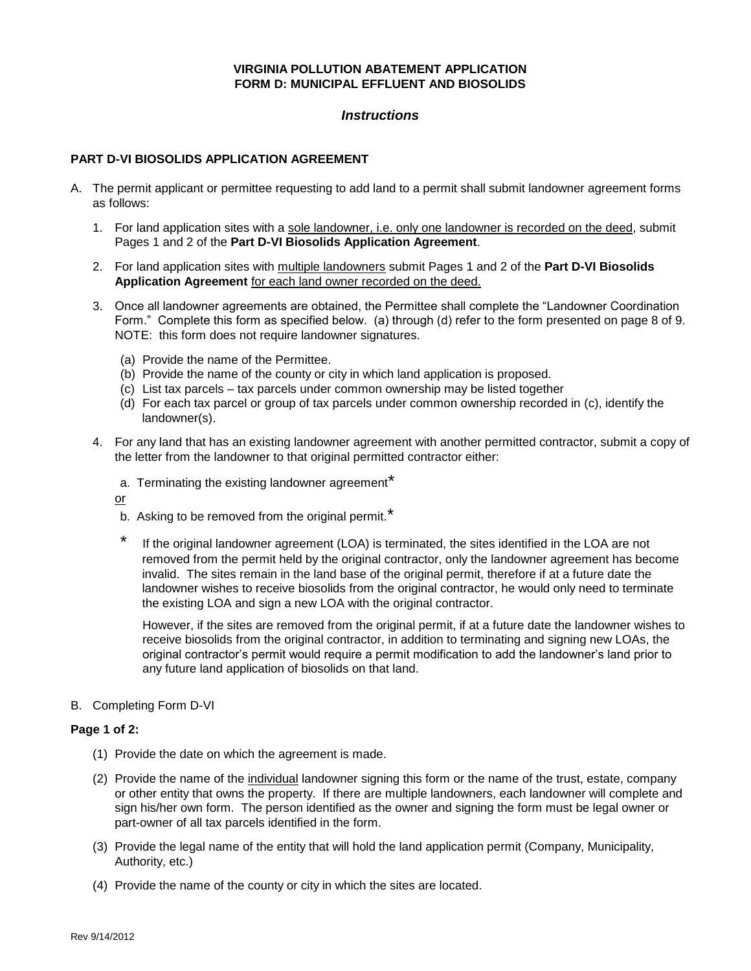#### **VIRGINIA POLLUTION ABATEMENT APPLICATION FORM D: MUNICIPAL EFFLUENT AND BIOSOLIDS**

### *Instructions*

#### **PART D-VI BIOSOLIDS APPLICATION AGREEMENT**

- A. The permit applicant or permittee requesting to add land to a permit shall submit landowner agreement forms as follows:
	- 1. For land application sites with a sole landowner, i.e. only one landowner is recorded on the deed, submit Pages 1 and 2 of the **Part D-VI Biosolids Application Agreement**.
	- 2. For land application sites with multiple landowners submit Pages 1 and 2 of the **Part D-VI Biosolids Application Agreement** for each land owner recorded on the deed.
	- 3. Once all landowner agreements are obtained, the Permittee shall complete the "Landowner Coordination Form." Complete this form as specified below. (a) through (d) refer to the form presented on page 8 of 9. NOTE: this form does not require landowner signatures.
		- (a) Provide the name of the Permittee.
		- (b) Provide the name of the county or city in which land application is proposed.
		- (c) List tax parcels tax parcels under common ownership may be listed together
		- (d) For each tax parcel or group of tax parcels under common ownership recorded in (c), identify the landowner(s).
	- 4. For any land that has an existing landowner agreement with another permitted contractor, submit a copy of the letter from the landowner to that original permitted contractor either:
		- a. Terminating the existing landowner agreement<sup>\*</sup>

or

- b. Asking to be removed from the original permit.<sup>\*</sup>
- \* If the original landowner agreement (LOA) is terminated, the sites identified in the LOA are not removed from the permit held by the original contractor, only the landowner agreement has become invalid. The sites remain in the land base of the original permit, therefore if at a future date the landowner wishes to receive biosolids from the original contractor, he would only need to terminate the existing LOA and sign a new LOA with the original contractor.

However, if the sites are removed from the original permit, if at a future date the landowner wishes to receive biosolids from the original contractor, in addition to terminating and signing new LOAs, the original contractor's permit would require a permit modification to add the landowner's land prior to any future land application of biosolids on that land.

B. Completing Form D-VI

#### **Page 1 of 2:**

- (1) Provide the date on which the agreement is made.
- (2) Provide the name of the individual landowner signing this form or the name of the trust, estate, company or other entity that owns the property. If there are multiple landowners, each landowner will complete and sign his/her own form. The person identified as the owner and signing the form must be legal owner or part-owner of all tax parcels identified in the form.
- (3) Provide the legal name of the entity that will hold the land application permit (Company, Municipality, Authority, etc.)
- (4) Provide the name of the county or city in which the sites are located.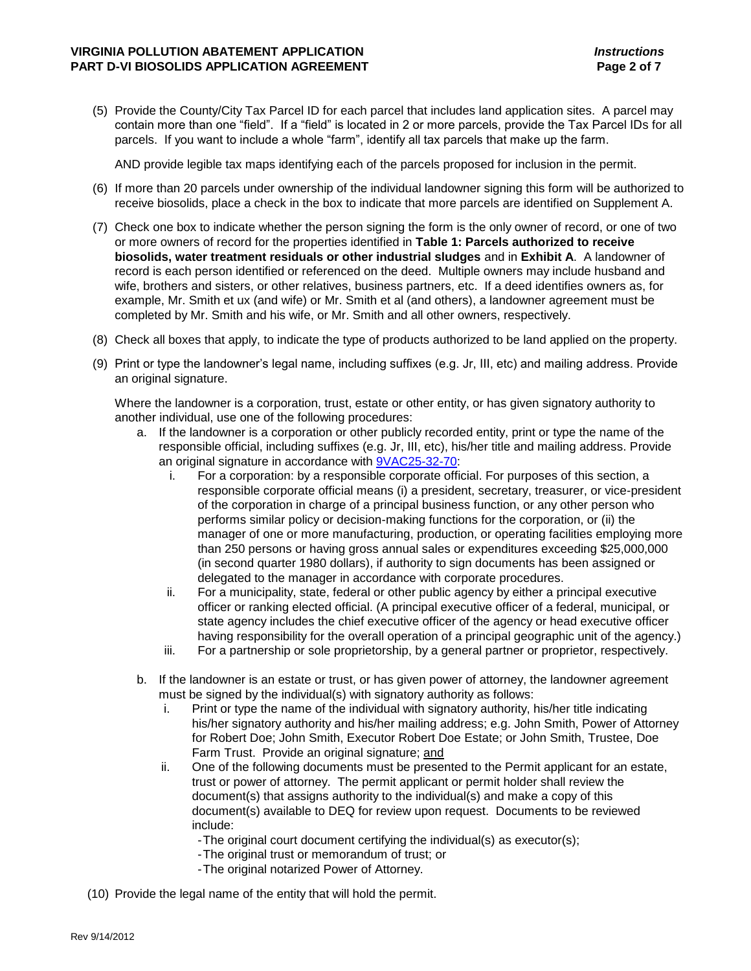(5) Provide the County/City Tax Parcel ID for each parcel that includes land application sites. A parcel may contain more than one "field". If a "field" is located in 2 or more parcels, provide the Tax Parcel IDs for all parcels. If you want to include a whole "farm", identify all tax parcels that make up the farm.

AND provide legible tax maps identifying each of the parcels proposed for inclusion in the permit.

- (6) If more than 20 parcels under ownership of the individual landowner signing this form will be authorized to receive biosolids, place a check in the box to indicate that more parcels are identified on Supplement A.
- (7) Check one box to indicate whether the person signing the form is the only owner of record, or one of two or more owners of record for the properties identified in **Table 1: Parcels authorized to receive biosolids, water treatment residuals or other industrial sludges** and in **Exhibit A**. A landowner of record is each person identified or referenced on the deed. Multiple owners may include husband and wife, brothers and sisters, or other relatives, business partners, etc. If a deed identifies owners as, for example, Mr. Smith et ux (and wife) or Mr. Smith et al (and others), a landowner agreement must be completed by Mr. Smith and his wife, or Mr. Smith and all other owners, respectively.
- (8) Check all boxes that apply, to indicate the type of products authorized to be land applied on the property.
- (9) Print or type the landowner's legal name, including suffixes (e.g. Jr, III, etc) and mailing address. Provide an original signature.

Where the landowner is a corporation, trust, estate or other entity, or has given signatory authority to another individual, use one of the following procedures:

- a. If the landowner is a corporation or other publicly recorded entity, print or type the name of the responsible official, including suffixes (e.g. Jr, III, etc), his/her title and mailing address. Provide an original signature in accordance with [9VAC25-32-70:](http://leg1.state.va.us/cgi-bin/legp504.exe?000+reg+9VAC25-32-70)
	- i. For a corporation: by a responsible corporate official. For purposes of this section, a responsible corporate official means (i) a president, secretary, treasurer, or vice-president of the corporation in charge of a principal business function, or any other person who performs similar policy or decision-making functions for the corporation, or (ii) the manager of one or more manufacturing, production, or operating facilities employing more than 250 persons or having gross annual sales or expenditures exceeding \$25,000,000 (in second quarter 1980 dollars), if authority to sign documents has been assigned or delegated to the manager in accordance with corporate procedures.
	- ii. For a municipality, state, federal or other public agency by either a principal executive officer or ranking elected official. (A principal executive officer of a federal, municipal, or state agency includes the chief executive officer of the agency or head executive officer having responsibility for the overall operation of a principal geographic unit of the agency.)
	- iii. For a partnership or sole proprietorship, by a general partner or proprietor, respectively.
- b. If the landowner is an estate or trust, or has given power of attorney, the landowner agreement must be signed by the individual(s) with signatory authority as follows:
	- i. Print or type the name of the individual with signatory authority, his/her title indicating his/her signatory authority and his/her mailing address; e.g. John Smith, Power of Attorney for Robert Doe; John Smith, Executor Robert Doe Estate; or John Smith, Trustee, Doe Farm Trust. Provide an original signature; and
	- ii. One of the following documents must be presented to the Permit applicant for an estate, trust or power of attorney. The permit applicant or permit holder shall review the document(s) that assigns authority to the individual(s) and make a copy of this document(s) available to DEQ for review upon request. Documents to be reviewed include:
		- -The original court document certifying the individual(s) as executor(s);
		- -The original trust or memorandum of trust; or
		- -The original notarized Power of Attorney.
- (10) Provide the legal name of the entity that will hold the permit.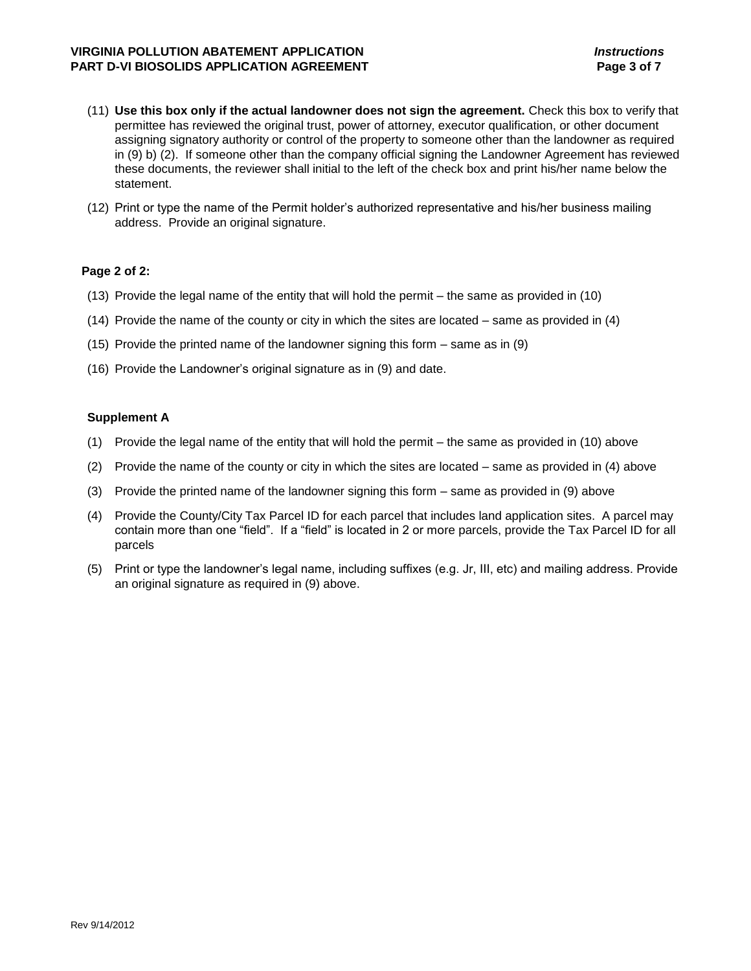#### **VIRGINIA POLLUTION ABATEMENT APPLICATION** *Instructions* **PART D-VI BIOSOLIDS APPLICATION AGREEMENT Page 3 of 7**

- (11) **Use this box only if the actual landowner does not sign the agreement.** Check this box to verify that permittee has reviewed the original trust, power of attorney, executor qualification, or other document assigning signatory authority or control of the property to someone other than the landowner as required in (9) b) (2). If someone other than the company official signing the Landowner Agreement has reviewed these documents, the reviewer shall initial to the left of the check box and print his/her name below the statement.
- (12) Print or type the name of the Permit holder's authorized representative and his/her business mailing address. Provide an original signature.

#### **Page 2 of 2:**

- (13) Provide the legal name of the entity that will hold the permit the same as provided in (10)
- (14) Provide the name of the county or city in which the sites are located same as provided in (4)
- (15) Provide the printed name of the landowner signing this form same as in (9)
- (16) Provide the Landowner's original signature as in (9) and date.

#### **Supplement A**

- (1) Provide the legal name of the entity that will hold the permit the same as provided in (10) above
- (2) Provide the name of the county or city in which the sites are located same as provided in (4) above
- (3) Provide the printed name of the landowner signing this form same as provided in (9) above
- (4) Provide the County/City Tax Parcel ID for each parcel that includes land application sites. A parcel may contain more than one "field". If a "field" is located in 2 or more parcels, provide the Tax Parcel ID for all parcels
- (5) Print or type the landowner's legal name, including suffixes (e.g. Jr, III, etc) and mailing address. Provide an original signature as required in (9) above.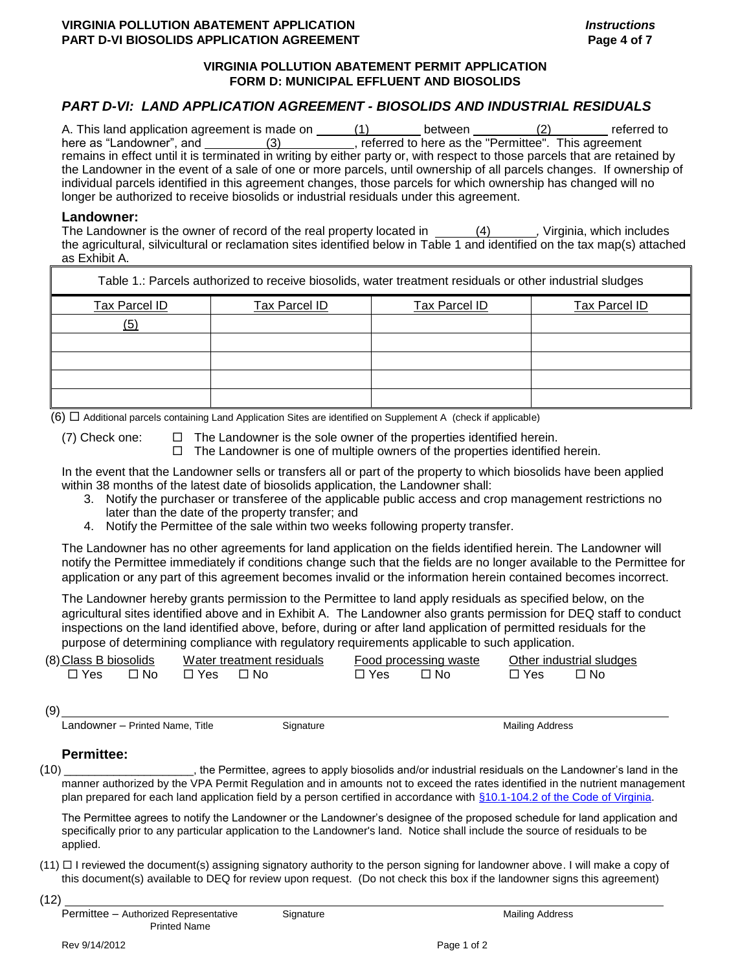### **VIRGINIA POLLUTION ABATEMENT APPLICATION** *Instructions* **PART D-VI BIOSOLIDS APPLICATION AGREEMENT Page 4 of 7**

## **VIRGINIA POLLUTION ABATEMENT PERMIT APPLICATION FORM D: MUNICIPAL EFFLUENT AND BIOSOLIDS**

# *PART D-VI: LAND APPLICATION AGREEMENT - BIOSOLIDS AND INDUSTRIAL RESIDUALS*

| A. This land application agreement is made on                                                                              |     | between                                               | referred to |
|----------------------------------------------------------------------------------------------------------------------------|-----|-------------------------------------------------------|-------------|
| here as "Landowner", and                                                                                                   | (3) | , referred to here as the "Permittee". This agreement |             |
| remains in effect until it is terminated in writing by either party or, with respect to those parcels that are retained by |     |                                                       |             |
| the Landowner in the event of a sale of one or more parcels, until ownership of all parcels changes. If ownership of       |     |                                                       |             |
| individual parcels identified in this agreement changes, those parcels for which ownership has changed will no             |     |                                                       |             |
| longer be authorized to receive biosolids or industrial residuals under this agreement.                                    |     |                                                       |             |

#### **Landowner:**

The Landowner is the owner of record of the real property located in  $(4)$ , Virginia, which includes the agricultural, silvicultural or reclamation sites identified below in Table 1 and identified on the tax map(s) attached as Exhibit A.

| Table 1.: Parcels authorized to receive biosolids, water treatment residuals or other industrial sludges |               |               |               |  |  |
|----------------------------------------------------------------------------------------------------------|---------------|---------------|---------------|--|--|
| Tax Parcel ID                                                                                            | Tax Parcel ID | Tax Parcel ID | Tax Parcel ID |  |  |
| (5)                                                                                                      |               |               |               |  |  |
|                                                                                                          |               |               |               |  |  |
|                                                                                                          |               |               |               |  |  |
|                                                                                                          |               |               |               |  |  |
|                                                                                                          |               |               |               |  |  |

 $(6)$   $\Box$  Additional parcels containing Land Application Sites are identified on Supplement A (check if applicable)

(7) Check one:  $\square$  The Landowner is the sole owner of the properties identified herein.  $\Box$  The Landowner is one of multiple owners of the properties identified herein.

In the event that the Landowner sells or transfers all or part of the property to which biosolids have been applied within 38 months of the latest date of biosolids application, the Landowner shall:

- 3. Notify the purchaser or transferee of the applicable public access and crop management restrictions no later than the date of the property transfer; and
- 4. Notify the Permittee of the sale within two weeks following property transfer.

The Landowner has no other agreements for land application on the fields identified herein. The Landowner will notify the Permittee immediately if conditions change such that the fields are no longer available to the Permittee for application or any part of this agreement becomes invalid or the information herein contained becomes incorrect.

The Landowner hereby grants permission to the Permittee to land apply residuals as specified below, on the agricultural sites identified above and in Exhibit A. The Landowner also grants permission for DEQ staff to conduct inspections on the land identified above, before, during or after land application of permitted residuals for the purpose of determining compliance with regulatory requirements applicable to such application.

| (8) Class B biosolids |      |            | Water treatment residuals |            | Food processing waste |            | Other industrial sludges |
|-----------------------|------|------------|---------------------------|------------|-----------------------|------------|--------------------------|
| $\Box$ Yes            | ⊟ No | □ Yes □ No |                           | $\Box$ Yes | ⊟ No                  | $\Box$ Yes | ⊟ No                     |

(9)

Landowner – Printed Name, Title Signature Signature Mailing Address

#### **Permittee:**

(10) \_\_\_\_\_\_\_\_\_\_\_\_\_\_\_\_\_\_\_\_\_, the Permittee, agrees to apply biosolids and/or industrial residuals on the Landowner's land in the manner authorized by the VPA Permit Regulation and in amounts not to exceed the rates identified in the nutrient management plan prepared for each land application field by a person certified in accordance with [§10.1-104.2 of the Code of Virginia.](http://leg1.state.va.us/cgi-bin/legp504.exe?000+cod+10.1-104.2)

The Permittee agrees to notify the Landowner or the Landowner's designee of the proposed schedule for land application and specifically prior to any particular application to the Landowner's land. Notice shall include the source of residuals to be applied.

- $(11)$   $\Box$  I reviewed the document(s) assigning signatory authority to the person signing for landowner above. I will make a copy of this document(s) available to DEQ for review upon request. (Do not check this box if the landowner signs this agreement)
- (12)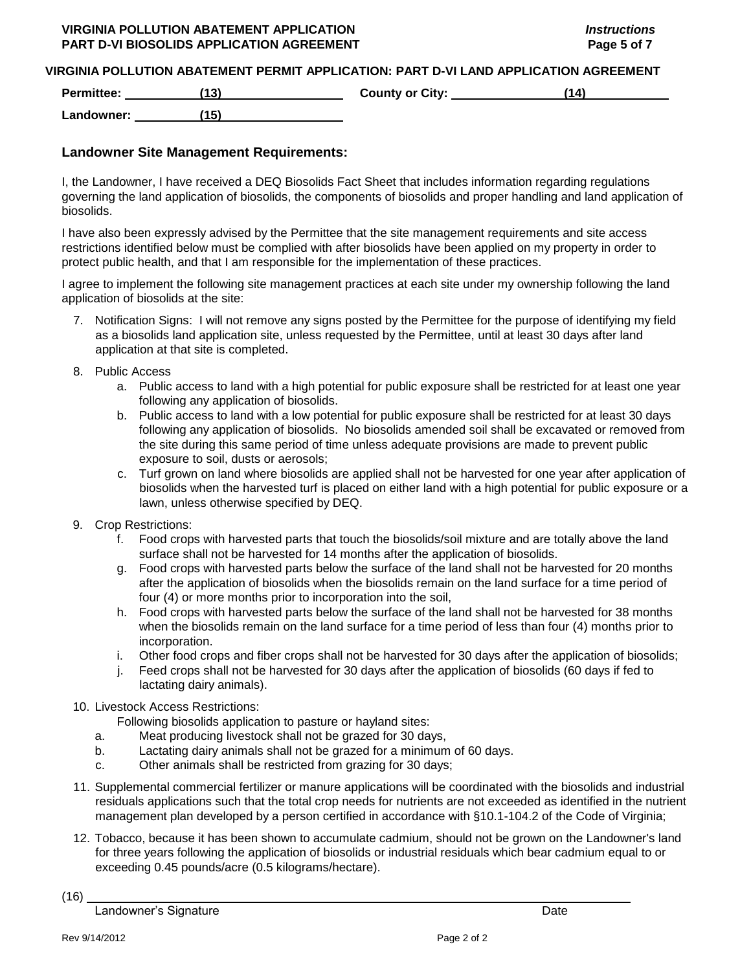#### **VIRGINIA POLLUTION ABATEMENT APPLICATION** *Instructions* **PART D-VI BIOSOLIDS APPLICATION AGREEMENT Page 5 of 7**

#### **VIRGINIA POLLUTION ABATEMENT PERMIT APPLICATION: PART D-VI LAND APPLICATION AGREEMENT**

**Permittee: (13) County or City: (14)**

**Landowner: (15)**

## **Landowner Site Management Requirements:**

I, the Landowner, I have received a DEQ Biosolids Fact Sheet that includes information regarding regulations governing the land application of biosolids, the components of biosolids and proper handling and land application of biosolids.

I have also been expressly advised by the Permittee that the site management requirements and site access restrictions identified below must be complied with after biosolids have been applied on my property in order to protect public health, and that I am responsible for the implementation of these practices.

I agree to implement the following site management practices at each site under my ownership following the land application of biosolids at the site:

- 7. Notification Signs: I will not remove any signs posted by the Permittee for the purpose of identifying my field as a biosolids land application site, unless requested by the Permittee, until at least 30 days after land application at that site is completed.
- 8. Public Access
	- a. Public access to land with a high potential for public exposure shall be restricted for at least one year following any application of biosolids.
	- b. Public access to land with a low potential for public exposure shall be restricted for at least 30 days following any application of biosolids. No biosolids amended soil shall be excavated or removed from the site during this same period of time unless adequate provisions are made to prevent public exposure to soil, dusts or aerosols;
	- c. Turf grown on land where biosolids are applied shall not be harvested for one year after application of biosolids when the harvested turf is placed on either land with a high potential for public exposure or a lawn, unless otherwise specified by DEQ.
- 9. Crop Restrictions:
	- f. Food crops with harvested parts that touch the biosolids/soil mixture and are totally above the land surface shall not be harvested for 14 months after the application of biosolids.
	- g. Food crops with harvested parts below the surface of the land shall not be harvested for 20 months after the application of biosolids when the biosolids remain on the land surface for a time period of four (4) or more months prior to incorporation into the soil,
	- h. Food crops with harvested parts below the surface of the land shall not be harvested for 38 months when the biosolids remain on the land surface for a time period of less than four (4) months prior to incorporation.
	- i. Other food crops and fiber crops shall not be harvested for 30 days after the application of biosolids;
	- j. Feed crops shall not be harvested for 30 days after the application of biosolids (60 days if fed to lactating dairy animals).
- 10. Livestock Access Restrictions:

Following biosolids application to pasture or hayland sites:

- a. Meat producing livestock shall not be grazed for 30 days,
- b. Lactating dairy animals shall not be grazed for a minimum of 60 days.
- c. Other animals shall be restricted from grazing for 30 days;
- 11. Supplemental commercial fertilizer or manure applications will be coordinated with the biosolids and industrial residuals applications such that the total crop needs for nutrients are not exceeded as identified in the nutrient management plan developed by a person certified in accordance with §10.1-104.2 of the Code of Virginia;
- 12. Tobacco, because it has been shown to accumulate cadmium, should not be grown on the Landowner's land for three years following the application of biosolids or industrial residuals which bear cadmium equal to or exceeding 0.45 pounds/acre (0.5 kilograms/hectare).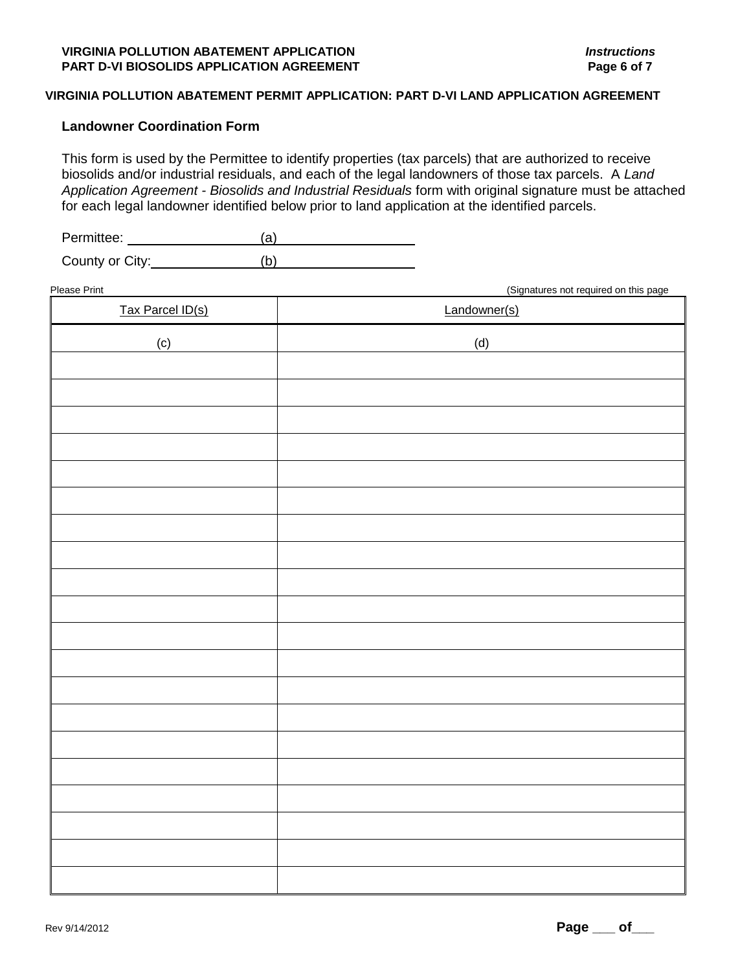#### **Landowner Coordination Form**

This form is used by the Permittee to identify properties (tax parcels) that are authorized to receive biosolids and/or industrial residuals, and each of the legal landowners of those tax parcels. A *Land Application Agreement - Biosolids and Industrial Residuals* form with original signature must be attached for each legal landowner identified below prior to land application at the identified parcels.

Permittee: <u>\_\_\_\_\_\_\_\_\_\_\_\_\_\_(a)</u>

County or City: (b)

Please Print (Signatures not required on this page Tax Parcel ID(s) and the state of the Landowner(s) Landowner(s)  $\qquad \qquad \text{(c)} \qquad \qquad \text{(d)}$